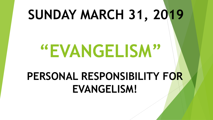## **SUNDAY MARCH 31, 2019**

# **"EVANGELISM"**

## **PERSONAL RESPONSIBILITY FOR EVANGELISM!**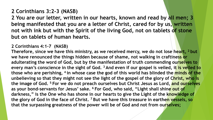### **2 Corinthians 3:2-3 (NASB)**

**2 You are our letter, written in our hearts, known and read by all men; 3 being manifested that you are a letter of Christ, cared for by us, written not with ink but with the Spirit of the living God, not on tablets of stone but on tablets of human hearts.**

### **2 Corinthians 4:1-7 (NASB)**

**Therefore, since we have this ministry, as we received mercy, we do not lose heart, <sup>2</sup> but we have renounced the things hidden because of shame, not walking in craftiness or adulterating the word of God, but by the manifestation of truth commending ourselves to every man's conscience in the sight of God. <sup>3</sup> And even if our gospel is veiled, it is veiled to**  those who are perishing, <sup>4</sup> in whose case the god of this world has blinded the minds of the **unbelieving so that they might not see the light of the gospel of the glory of Christ, who is the image of God. <sup>5</sup> For we do not preach ourselves but Christ Jesus as Lord, and ourselves as your bond-servants for Jesus' sake. <sup>6</sup> For God, who said, "Light shall shine out of darkness," is the One who has shone in our hearts to give the Light of the knowledge of the glory of God in the face of Christ. <sup>7</sup> But we have this treasure in earthen vessels, so that the surpassing greatness of the power will be of God and not from ourselves;**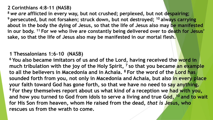### **2 Corinthians 4:8-11 (NASB)**

**<sup>8</sup>** *we are* **afflicted in every way, but not crushed; perplexed, but not despairing; <sup>9</sup> persecuted, but not forsaken; struck down, but not destroyed; <sup>10</sup> always carrying about in the body the dying of Jesus, so that the life of Jesus also may be manifested in our body. <sup>11</sup> For we who live are constantly being delivered over to death for Jesus' sake, so that the life of Jesus also may be manifested in our mortal flesh.**

### **1 Thessalonians 1:6-10 (NASB)**

**<sup>6</sup> You also became imitators of us and of the Lord, having received the word in much tribulation with the joy of the Holy Spirit, <sup>7</sup> so that you became an example to all the believers in Macedonia and in Achaia. <sup>8</sup> For the word of the Lord has sounded forth from you, not only in Macedonia and Achaia, but also in every place your faith toward God has gone forth, so that we have no need to say anything. <sup>9</sup> For they themselves report about us what kind of a reception we had with you, and how you turned to God from idols to serve a living and true God, <sup>10</sup> and to wait for His Son from heaven, whom He raised from the dead,** *that is* **Jesus, who rescues us from the wrath to come.**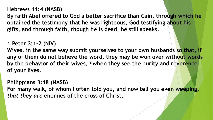**Hebrews 11:4 (NASB)**

**By faith Abel offered to God a better sacrifice than Cain, through which he obtained the testimony that he was righteous, God testifying about his gifts, and through faith, though he is dead, he still speaks.**

### **1 Peter 3:1-2 (NIV)**

Wives, in the same way submit yourselves to your own husbands so that, if **any of them do not believe the word, they may be won over without words by the behavior of their wives, <sup>2</sup> when they see the purity and reverence of your lives.**

### **Philippians 3:18 (NASB)**

**For many walk, of whom I often told you, and now tell you even weeping,**  *that they are* **enemies of the cross of Christ,**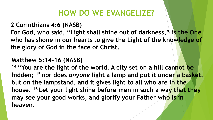### **HOW DO WE EVANGELIZE?**

### **2 Corinthians 4:6 (NASB)**

**For God, who said, "Light shall shine out of darkness," is the One who has shone in our hearts to give the Light of the knowledge of the glory of God in the face of Christ.**

### **Matthew 5:14-16 (NASB)**

**<sup>14</sup> "You are the light of the world. A city set on a hill cannot be hidden; <sup>15</sup> nor does** *anyone* **light a lamp and put it under a basket, but on the lampstand, and it gives light to all who are in the house. <sup>16</sup> Let your light shine before men in such a way that they may see your good works, and glorify your Father who is in heaven.**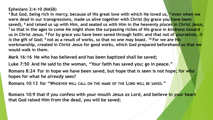### **Ephesians 2:4-10 (NASB)**

**<sup>4</sup> But God, being rich in mercy, because of His great love with which He loved us, <sup>5</sup> even when we were dead in our transgressions, made us alive together with Christ (by grace you have been saved), <sup>6</sup> and raised us up with Him, and seated us with Him in the heavenly** *places* **in Christ Jesus, <sup>7</sup> so that in the ages to come He might show the surpassing riches of His grace in kindness toward**  us in Christ Jesus. <sup>8</sup> For by grace you have been saved through faith; and that not of yourselves, *it is* **the gift of God; <sup>9</sup> not as a result of works, so that no one may boast. <sup>10</sup> For we are His workmanship, created in Christ Jesus for good works, which God prepared beforehand so that we would walk in them.**

**Mark 16:16 He who has believed and has been baptized shall be saved;** 

**Luke 7:50 And He said to the woman, "Your faith has saved you; go in peace."**

**Romans 8:24 For in hope we have been saved, but hope that is seen is not hope; for who hopes for what he** *already* **sees?**

**Romans 10:13 for "WHOEVER WILL CALL ON THE NAME OF THE LORD WILL BE SAVED."**

**Romans 10:9 that if you confess with your mouth Jesus** *as* **Lord, and believe in your heart that God raised Him from the dead, you will be saved;**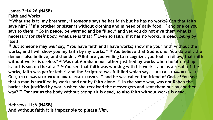### **James 2:14-26 (NASB) Faith and Works**

**<sup>14</sup> What use is it, my brethren, if someone says he has faith but he has no works? Can that faith save him? <sup>15</sup> If a brother or sister is without clothing and in need of daily food, <sup>16</sup> and one of you says to them, "Go in peace, be warmed and be filled," and yet you do not give them what is necessary for** *their* **body, what use is that? <sup>17</sup> Even so faith, if it has no works, is dead,** *being* **by itself.**

**<sup>18</sup> But someone may** *well* **say, "You have faith and I have works; show me your faith without the works, and I will show you my faith by my works." <sup>19</sup> You believe that God is one. You do well; the demons also believe, and shudder. <sup>20</sup> But are you willing to recognize, you foolish fellow, that faith without works is useless? <sup>21</sup> Was not Abraham our father justified by works when he offered up Isaac his son on the altar? <sup>22</sup> You see that faith was working with his works, and as a result of the works, faith was perfected; <sup>23</sup> and the Scripture was fulfilled which says, "AND ABRAHAM BELIEVED GOD, AND IT WAS RECKONED TO HIM AS RIGHTEOUSNESS," and he was called the friend of God. <sup>24</sup> You see that a man is justified by works and not by faith alone. <sup>25</sup> In the same way, was not Rahab the harlot also justified by works when she received the messengers and sent them out by another way? <sup>26</sup> For just as the body without** *the* **spirit is dead, so also faith without works is dead.**

**Hebrews 11:6 (NASB) And without faith it is impossible to please** *Him***,**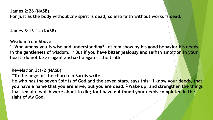**James 2:26 (NASB) For just as the body without** *the* **spirit is dead, so also faith without works is dead.**

**James 3:13-14 (NASB)**

**Wisdom from Above**

**<sup>13</sup> Who among you is wise and understanding? Let him show by his good behavior his deeds in the gentleness of wisdom. <sup>14</sup> But if you have bitter jealousy and selfish ambition in your heart, do not be arrogant and** *so* **lie against the truth.**

**Revelation 3:1-2 (NASB)**

**"To the angel of the church in Sardis write:**

**He who has the seven Spirits of God and the seven stars, says this: 'I know your deeds, that you have a name that you are alive, but you are dead. <sup>2</sup> Wake up, and strengthen the things that remain, which were about to die; for I have not found your deeds completed in the sight of My God.**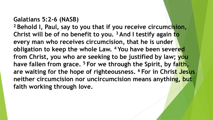### **Galatians 5:2-6 (NASB)**

**<sup>2</sup> Behold I, Paul, say to you that if you receive circumcision, Christ will be of no benefit to you. <sup>3</sup> And I testify again to every man who receives circumcision, that he is under obligation to keep the whole Law. <sup>4</sup> You have been severed from Christ, you who are seeking to be justified by law; you have fallen from grace. <sup>5</sup> For we through the Spirit, by faith, are waiting for the hope of righteousness. <sup>6</sup> For in Christ Jesus neither circumcision nor uncircumcision means anything, but faith working through love.**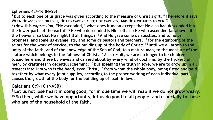### **Ephesians 4:7-16 (NASB)**

**<sup>7</sup> But to each one of us grace was given according to the measure of Christ's gift. <sup>8</sup> Therefore it says,**  WHEN HE ASCENDED ON HIGH, HE LED CAPTIVE A HOST OF CAPTIVES, AND HE GAVE GIFTS TO MEN." **9 (Now this** *expression***, "He ascended," what does it mean except that He also had descended into the lower parts of the earth? <sup>10</sup> He who descended is Himself also He who ascended far above all the heavens, so that He might fill all things.) <sup>11</sup>And He gave some** *as* **apostles, and some** *as* **prophets, and some** *as* **evangelists, and some** *as* **pastors and teachers, <sup>12</sup> for the equipping of the saints for the work of service, to the building up of the body of Christ; <sup>13</sup> until we all attain to the unity of the faith, and of the knowledge of the Son of God, to a mature man, to the measure of the stature which belongs to the fullness of Christ. <sup>14</sup> As a result, we are no longer to be children, tossed here and there by waves and carried about by every wind of doctrine, by the trickery of men, by craftiness in deceitful scheming; <sup>15</sup> but speaking the truth in love, we are to grow up in all**  *aspects* **into Him who is the head,** *even* **Christ, <sup>16</sup> from whom the whole body, being fitted and held together by what every joint supplies, according to the proper working of each individual part, causes the growth of the body for the building up of itself in love.**

### **Galatians 6:9-10 (NASB)**

<sup>9</sup> Let us not lose heart in doing good, for in due time we will reap if we do not grow weary. **<sup>10</sup> So then, while we have opportunity, let us do good to all people, and especially to those who are of the household of the faith.**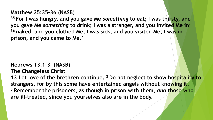**Matthew 25:35-36 (NASB)**

**<sup>35</sup> For I was hungry, and you gave Me** *something* **to eat; I was thirsty, and you gave Me** *something* **to drink; I was a stranger, and you invited Me in; <sup>36</sup> naked, and you clothed Me; I was sick, and you visited Me; I was in prison, and you came to Me.'**

**Hebrews 13:1-3 (NASB)**

**The Changeless Christ**

**13 Let love of the brethren continue. <sup>2</sup> Do not neglect to show hospitality to strangers, for by this some have entertained angels without knowing it. <sup>3</sup> Remember the prisoners, as though in prison with them,** *and* **those who are ill-treated, since you yourselves also are in the body.**